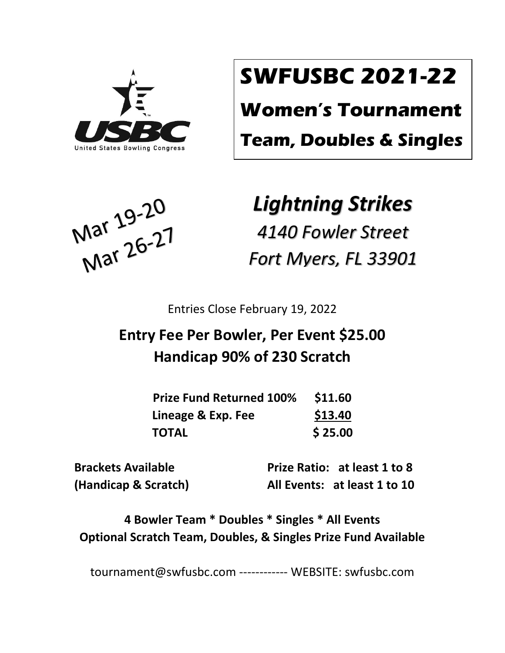

# **SWFUSBC 2021-22**

**Women's Tournament**

**Team, Doubles & Singles**

Mar 19-20<br>Mar 26-27

## *Lightning Strikes*

*4140 Fowler Street Fort Myers, FL 33901*

Entries Close February 19, 2022

### **Entry Fee Per Bowler, Per Event \$25.00 Handicap 90% of 230 Scratch**

| <b>Prize Fund Returned 100%</b> | \$11.60 |
|---------------------------------|---------|
| Lineage & Exp. Fee              | \$13.40 |
| <b>TOTAL</b>                    | \$25.00 |

 **Brackets Available Prize Ratio: at least 1 to 8 (Handicap & Scratch) All Events: at least 1 to 10**

**4 Bowler Team \* Doubles \* Singles \* All Events Optional Scratch Team, Doubles, & Singles Prize Fund Available**

tournament@swfusbc.com ------------ WEBSITE: swfusbc.com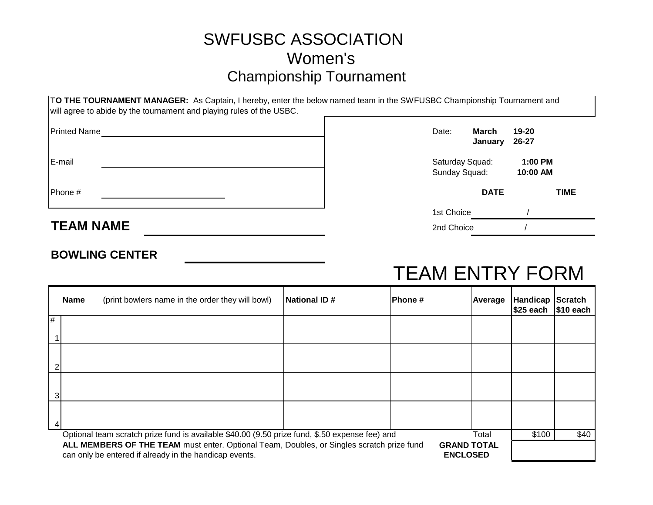### SWFUSBC ASSOCIATION Women's Championship Tournament

|                  | TO THE TOURNAMENT MANAGER: As Captain, I hereby, enter the below named team in the SWFUSBC Championship Tournament and<br>will agree to abide by the tournament and playing rules of the USBC. |                                  |                  |                       |             |
|------------------|------------------------------------------------------------------------------------------------------------------------------------------------------------------------------------------------|----------------------------------|------------------|-----------------------|-------------|
| Printed Name     |                                                                                                                                                                                                | Date:                            | March<br>January | 19-20<br>26-27        |             |
| E-mail           |                                                                                                                                                                                                | Saturday Squad:<br>Sunday Squad: |                  | $1:00$ PM<br>10:00 AM |             |
| Phone #          |                                                                                                                                                                                                |                                  | <b>DATE</b>      |                       | <b>TIME</b> |
|                  |                                                                                                                                                                                                | 1st Choice                       |                  |                       |             |
| <b>TEAM NAME</b> |                                                                                                                                                                                                | 2nd Choice                       |                  |                       |             |

#### **BOWLING CENTER**

## TEAM ENTRY FORM

|                                                                                                                                                                                              | Name                                                                                                    | (print bowlers name in the order they will bowl) | National ID# | IPhone # | Average | <b>Handicap Scratch</b><br>$ $25$ each $ $10$ each |      |
|----------------------------------------------------------------------------------------------------------------------------------------------------------------------------------------------|---------------------------------------------------------------------------------------------------------|--------------------------------------------------|--------------|----------|---------|----------------------------------------------------|------|
| #                                                                                                                                                                                            |                                                                                                         |                                                  |              |          |         |                                                    |      |
|                                                                                                                                                                                              |                                                                                                         |                                                  |              |          |         |                                                    |      |
|                                                                                                                                                                                              |                                                                                                         |                                                  |              |          |         |                                                    |      |
|                                                                                                                                                                                              |                                                                                                         |                                                  |              |          |         |                                                    |      |
|                                                                                                                                                                                              |                                                                                                         |                                                  |              |          |         |                                                    |      |
|                                                                                                                                                                                              | Optional team scratch prize fund is available \$40.00 (9.50 prize fund, \$.50 expense fee) and<br>Total |                                                  |              |          |         |                                                    | \$40 |
| ALL MEMBERS OF THE TEAM must enter. Optional Team, Doubles, or Singles scratch prize fund<br><b>GRAND TOTAL</b><br>can only be entered if already in the handicap events.<br><b>ENCLOSED</b> |                                                                                                         |                                                  |              |          |         |                                                    |      |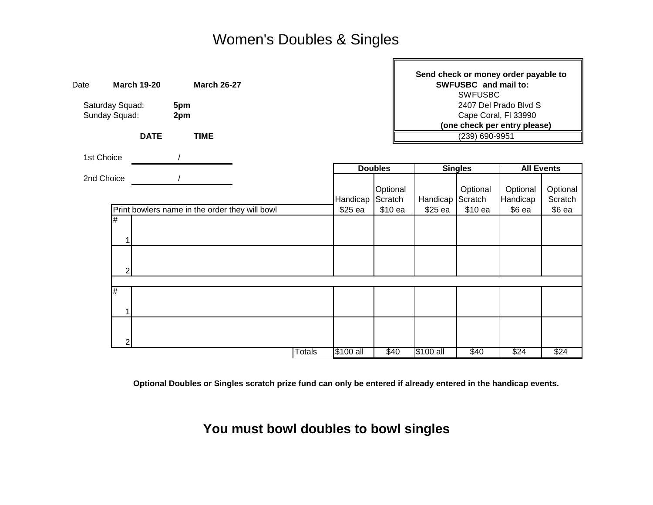H

| Date                   | <b>March 19-20</b> | <b>March 26-27</b>                             |  |        |           |                                               |                | SWFUSBC and mail to:<br><b>SWFUSBC</b> | Send check or money order payable to |                     |
|------------------------|--------------------|------------------------------------------------|--|--------|-----------|-----------------------------------------------|----------------|----------------------------------------|--------------------------------------|---------------------|
| Saturday Squad:<br>5pm |                    |                                                |  |        |           |                                               |                |                                        |                                      |                     |
| Sunday Squad:          |                    | 2pm                                            |  |        |           | 2407 Del Prado Blvd S<br>Cape Coral, FI 33990 |                |                                        |                                      |                     |
|                        |                    |                                                |  |        |           |                                               |                |                                        | (one check per entry please)         |                     |
|                        | <b>DATE</b>        | <b>TIME</b>                                    |  |        |           |                                               | (239) 690-9951 |                                        |                                      |                     |
|                        | 1st Choice         |                                                |  |        |           |                                               |                |                                        |                                      |                     |
|                        |                    |                                                |  |        |           | <b>Doubles</b>                                |                | <b>Singles</b>                         | <b>All Events</b>                    |                     |
|                        | 2nd Choice         |                                                |  |        | Handicap  | Optional<br>Scratch                           | Handicap       | Optional<br>Scratch                    | Optional<br>Handicap                 | Optional<br>Scratch |
|                        |                    | Print bowlers name in the order they will bowl |  |        | \$25 ea   | \$10 ea                                       | \$25 ea        | \$10 ea                                | $$6$ ea                              | $$6$ ea             |
|                        | $\#$<br>1          |                                                |  |        |           |                                               |                |                                        |                                      |                     |
|                        | 2                  |                                                |  |        |           |                                               |                |                                        |                                      |                     |
|                        |                    |                                                |  |        |           |                                               |                |                                        |                                      |                     |
|                        | #                  |                                                |  |        |           |                                               |                |                                        |                                      |                     |
|                        |                    |                                                |  |        |           |                                               |                |                                        |                                      |                     |
|                        | 2                  |                                                |  |        |           |                                               |                |                                        |                                      |                     |
|                        |                    |                                                |  | Totals | \$100 all | \$40                                          | \$100 all      | \$40                                   | \$24                                 | \$24                |

**Optional Doubles or Singles scratch prize fund can only be entered if already entered in the handicap events.**

**You must bowl doubles to bowl singles**